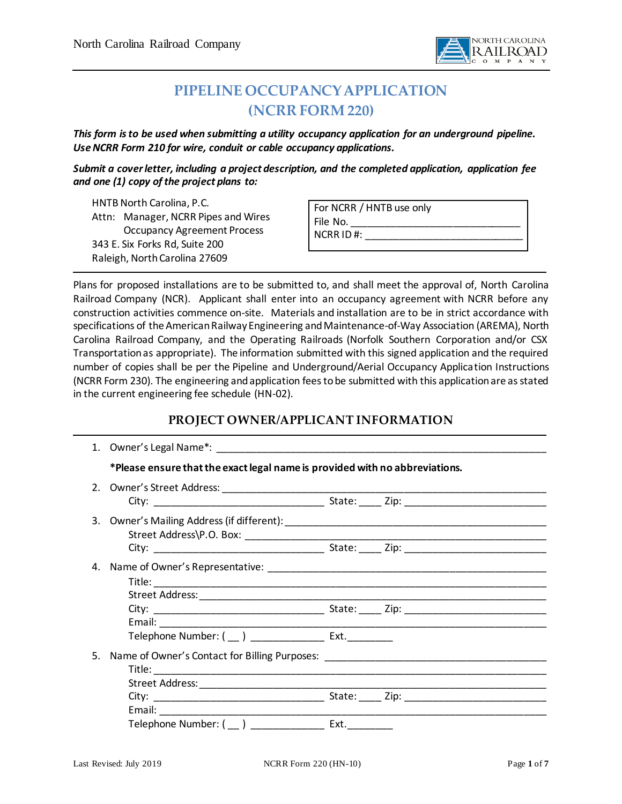

# **PIPELINE OCCUPANCY APPLICATION (NCRR FORM220)**

*This form is to be used when submitting a utility occupancy application for an underground pipeline. Use NCRR Form 210 for wire, conduit or cable occupancy applications.* 

*Submit a cover letter, including a project description, and the completed application, application fee and one (1) copy of the project plans to:*

HNTB North Carolina, P.C. Attn: Manager, NCRR Pipes and Wires Occupancy Agreement Process 343 E. Six Forks Rd, Suite 200 Raleigh, North Carolina 27609

|             | For NCRR / HNTB use only |  |
|-------------|--------------------------|--|
| File No.    |                          |  |
| $NCRRID#$ : |                          |  |
|             |                          |  |

Plans for proposed installations are to be submitted to, and shall meet the approval of, North Carolina Railroad Company (NCR). Applicant shall enter into an occupancy agreement with NCRR before any construction activities commence on-site. Materials and installation are to be in strict accordance with specifications of the American Railway Engineering and Maintenance-of-Way Association (AREMA), North Carolina Railroad Company, and the Operating Railroads (Norfolk Southern Corporation and/or CSX Transportation as appropriate). The information submitted with this signed application and the required number of copies shall be per the Pipeline and Underground/Aerial Occupancy Application Instructions (NCRR Form 230). The engineering and application fees to be submitted with this application are as stated in the current engineering fee schedule (HN-02).

## **PROJECT OWNER/APPLICANT INFORMATION**

|    | *Please ensure that the exact legal name is provided with no abbreviations. |  |  |
|----|-----------------------------------------------------------------------------|--|--|
|    |                                                                             |  |  |
|    |                                                                             |  |  |
|    |                                                                             |  |  |
| 4. |                                                                             |  |  |
|    |                                                                             |  |  |
|    |                                                                             |  |  |
| 5. |                                                                             |  |  |
|    |                                                                             |  |  |
|    | Telephone Number: ( __ ) ________________ Ext. _________                    |  |  |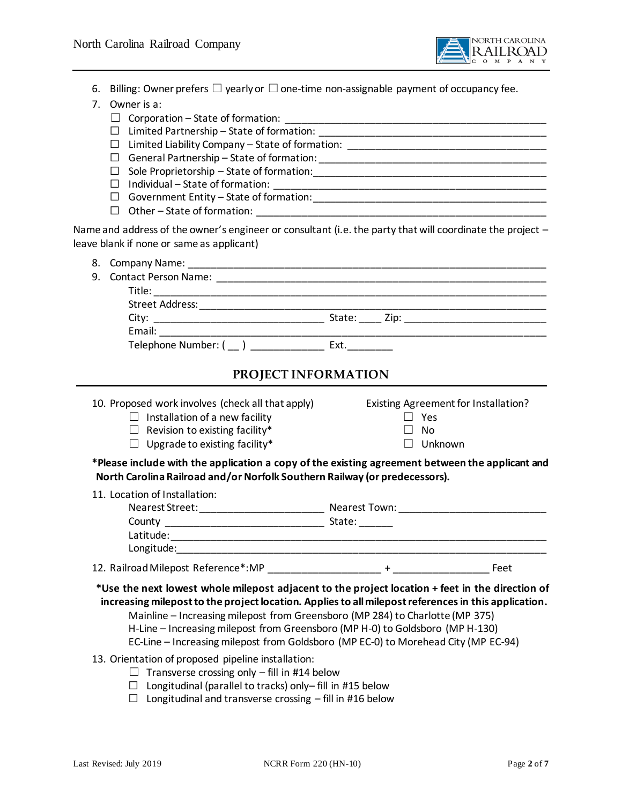

- 6. Billing: Owner prefers  $\Box$  yearly or  $\Box$  one-time non-assignable payment of occupancy fee.
- 7. Owner is a:
	- ☐ Corporation State of formation: \_\_\_\_\_\_\_\_\_\_\_\_\_\_\_\_\_\_\_\_\_\_\_\_\_\_\_\_\_\_\_\_\_\_\_\_\_\_\_\_\_\_\_\_\_\_
	- ☐ Limited Partnership State of formation: \_\_\_\_\_\_\_\_\_\_\_\_\_\_\_\_\_\_\_\_\_\_\_\_\_\_\_\_\_\_\_\_\_\_\_\_\_\_\_\_
	- ☐ Limited Liability Company State of formation: \_\_\_\_\_\_\_\_\_\_\_\_\_\_\_\_\_\_\_\_\_\_\_\_\_\_\_\_\_\_\_\_\_\_\_
	- ☐ General Partnership State of formation: \_\_\_\_\_\_\_\_\_\_\_\_\_\_\_\_\_\_\_\_\_\_\_\_\_\_\_\_\_\_\_\_\_\_\_\_\_\_\_\_
	- ☐ Sole Proprietorship State of formation:\_\_\_\_\_\_\_\_\_\_\_\_\_\_\_\_\_\_\_\_\_\_\_\_\_\_\_\_\_\_\_\_\_\_\_\_\_\_\_\_\_
	- ☐ Individual State of formation: \_\_\_\_\_\_\_\_\_\_\_\_\_\_\_\_\_\_\_\_\_\_\_\_\_\_\_\_\_\_\_\_\_\_\_\_\_\_\_\_\_\_\_\_\_\_\_\_
	- ☐ Government Entity State of formation:\_\_\_\_\_\_\_\_\_\_\_\_\_\_\_\_\_\_\_\_\_\_\_\_\_\_\_\_\_\_\_\_\_\_\_\_\_\_\_\_\_
	- □ Other State of formation:

Name and address of the owner's engineer or consultant (i.e. the party that will coordinate the project – leave blank if none or same as applicant)

| 9. Contact Person Name: |               |  |
|-------------------------|---------------|--|
|                         |               |  |
|                         |               |  |
|                         |               |  |
|                         |               |  |
| Telephone Number: ()    | Ext. ________ |  |
|                         |               |  |

### **PROJECT INFORMATION**

10. Proposed work involves (check all that apply) Existing Agreement for Installation? ☐ Installation of a new facility ☐ Yes ☐ Revision to existing facility\* ☐ No  $\Box$  Upgrade to existing facility\*  $\Box$  Unknown **\*Please include with the application a copy of the existing agreement between the applicant and North Carolina Railroad and/or Norfolk Southern Railway (or predecessors).** 11. Location of Installation: Nearest Street:\_\_\_\_\_\_\_\_\_\_\_\_\_\_\_\_\_\_\_\_\_\_ Nearest Town: \_\_\_\_\_\_\_\_\_\_\_\_\_\_\_\_\_\_\_\_\_\_\_\_\_\_ County \_\_\_\_\_\_\_\_\_\_\_\_\_\_\_\_\_\_\_\_\_\_\_\_\_\_\_\_ State: \_\_\_\_\_\_ Latitude: Longitude:

- 12. Railroad Milepost Reference\*:MP \_\_\_\_\_\_\_\_\_\_\_\_\_\_\_\_\_\_\_\_ + \_\_\_\_\_\_\_\_\_\_\_\_\_\_\_\_\_ Feet
- **\*Use the next lowest whole milepost adjacent to the project location + feet in the direction of increasing milepost to the project location. Applies to all milepost references in this application.**
	- Mainline Increasing milepost from Greensboro (MP 284) to Charlotte (MP 375) H-Line – Increasing milepost from Greensboro (MP H-0) to Goldsboro (MP H-130) EC-Line – Increasing milepost from Goldsboro (MP EC-0) to Morehead City (MP EC-94)
- 13. Orientation of proposed pipeline installation:
	- $\Box$  Transverse crossing only fill in #14 below
	- $\Box$  Longitudinal (parallel to tracks) only-fill in [#15](#page-2-0) below
	- $\Box$  Longitudinal and transverse crossing fill in #16 below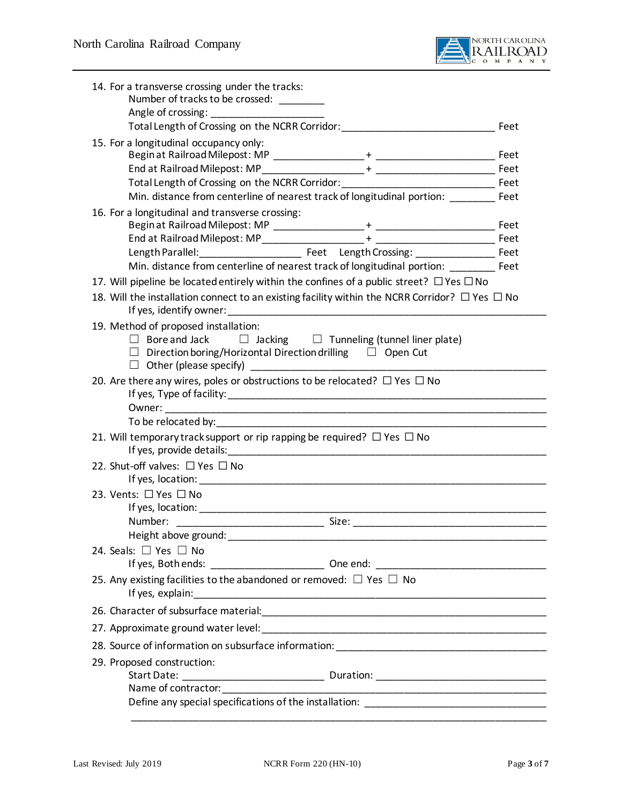

<span id="page-2-0"></span>

| 14. For a transverse crossing under the tracks:<br>Number of tracks to be crossed: ________                                                                                                |  |  |  |
|--------------------------------------------------------------------------------------------------------------------------------------------------------------------------------------------|--|--|--|
|                                                                                                                                                                                            |  |  |  |
|                                                                                                                                                                                            |  |  |  |
| 15. For a longitudinal occupancy only:                                                                                                                                                     |  |  |  |
|                                                                                                                                                                                            |  |  |  |
|                                                                                                                                                                                            |  |  |  |
| Total Length of Crossing on the NCRR Corridor: __________________________________ Feet                                                                                                     |  |  |  |
| Min. distance from centerline of nearest track of longitudinal portion: ________ Feet                                                                                                      |  |  |  |
| 16. For a longitudinal and transverse crossing:                                                                                                                                            |  |  |  |
|                                                                                                                                                                                            |  |  |  |
|                                                                                                                                                                                            |  |  |  |
| Min. distance from centerline of nearest track of longitudinal portion: ________ Feet                                                                                                      |  |  |  |
| 17. Will pipeline be located entirely within the confines of a public street? $\Box$ Yes $\Box$ No                                                                                         |  |  |  |
| 18. Will the installation connect to an existing facility within the NCRR Corridor? $\Box$ Yes $\Box$ No                                                                                   |  |  |  |
| 19. Method of proposed installation:<br>$\Box$ Bore and Jack $\Box$ Jacking $\Box$ Tunneling (tunnel liner plate)<br>$\Box$ Direction boring/Horizontal Direction drilling $\Box$ Open Cut |  |  |  |
| 20. Are there any wires, poles or obstructions to be relocated? $\Box$ Yes $\Box$ No                                                                                                       |  |  |  |
|                                                                                                                                                                                            |  |  |  |
| 21. Will temporary track support or rip rapping be required? $\Box$ Yes $\Box$ No                                                                                                          |  |  |  |
| 22. Shut-off valves: □ Yes □ No                                                                                                                                                            |  |  |  |
| 23. Vents: □ Yes □ No                                                                                                                                                                      |  |  |  |
|                                                                                                                                                                                            |  |  |  |
|                                                                                                                                                                                            |  |  |  |
|                                                                                                                                                                                            |  |  |  |
| 24. Seals: $\Box$ Yes $\Box$ No                                                                                                                                                            |  |  |  |
|                                                                                                                                                                                            |  |  |  |
| 25. Any existing facilities to the abandoned or removed: $\Box$ Yes $\Box$ No                                                                                                              |  |  |  |
|                                                                                                                                                                                            |  |  |  |
|                                                                                                                                                                                            |  |  |  |
|                                                                                                                                                                                            |  |  |  |
| 29. Proposed construction:                                                                                                                                                                 |  |  |  |
|                                                                                                                                                                                            |  |  |  |
|                                                                                                                                                                                            |  |  |  |
|                                                                                                                                                                                            |  |  |  |
|                                                                                                                                                                                            |  |  |  |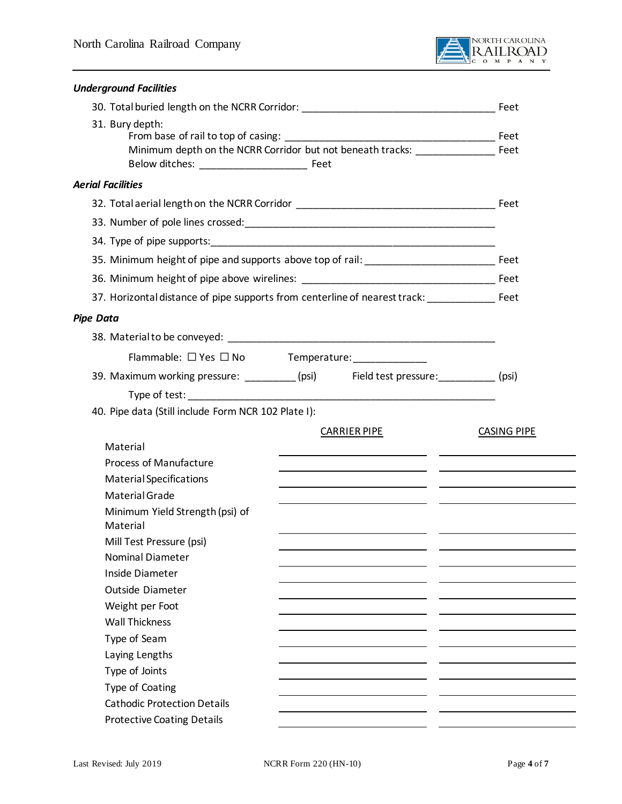

| <b>Underground Facilities</b>                                                                             |  |                     |                    |
|-----------------------------------------------------------------------------------------------------------|--|---------------------|--------------------|
| 30. Total buried length on the NCRR Corridor: __________________________________                          |  |                     | Feet               |
| 31. Bury depth:<br>Minimum depth on the NCRR Corridor but not beneath tracks: ______________________ Feet |  |                     |                    |
| <b>Aerial Facilities</b>                                                                                  |  |                     |                    |
|                                                                                                           |  |                     |                    |
|                                                                                                           |  |                     |                    |
|                                                                                                           |  |                     |                    |
|                                                                                                           |  |                     |                    |
|                                                                                                           |  |                     |                    |
| 37. Horizontal distance of pipe supports from centerline of nearest track: _________________________ Feet |  |                     |                    |
| <b>Pipe Data</b>                                                                                          |  |                     |                    |
|                                                                                                           |  |                     |                    |
|                                                                                                           |  |                     |                    |
| Flammable: □ Yes □ No Temperature: ______________                                                         |  |                     |                    |
| 39. Maximum working pressure: _________ (psi) Field test pressure: _________ (psi)                        |  |                     |                    |
|                                                                                                           |  |                     |                    |
| 40. Pipe data (Still include Form NCR 102 Plate I):                                                       |  |                     |                    |
| Material                                                                                                  |  | <b>CARRIER PIPE</b> | <b>CASING PIPE</b> |
| <b>Process of Manufacture</b>                                                                             |  |                     |                    |
| <b>Material Specifications</b>                                                                            |  |                     |                    |
| Material Grade                                                                                            |  |                     |                    |
| Minimum Yield Strength (psi) of<br>Material                                                               |  |                     |                    |
| Mill Test Pressure (psi)                                                                                  |  |                     |                    |
| <b>Nominal Diameter</b>                                                                                   |  |                     |                    |
| Inside Diameter                                                                                           |  |                     |                    |
| <b>Outside Diameter</b>                                                                                   |  |                     |                    |
| Weight per Foot                                                                                           |  |                     |                    |
| <b>Wall Thickness</b>                                                                                     |  |                     |                    |
| Type of Seam                                                                                              |  |                     |                    |
| Laying Lengths                                                                                            |  |                     |                    |
| Type of Joints<br>Type of Coating                                                                         |  |                     |                    |
| <b>Cathodic Protection Details</b>                                                                        |  |                     |                    |
| <b>Protective Coating Details</b>                                                                         |  |                     |                    |
|                                                                                                           |  |                     |                    |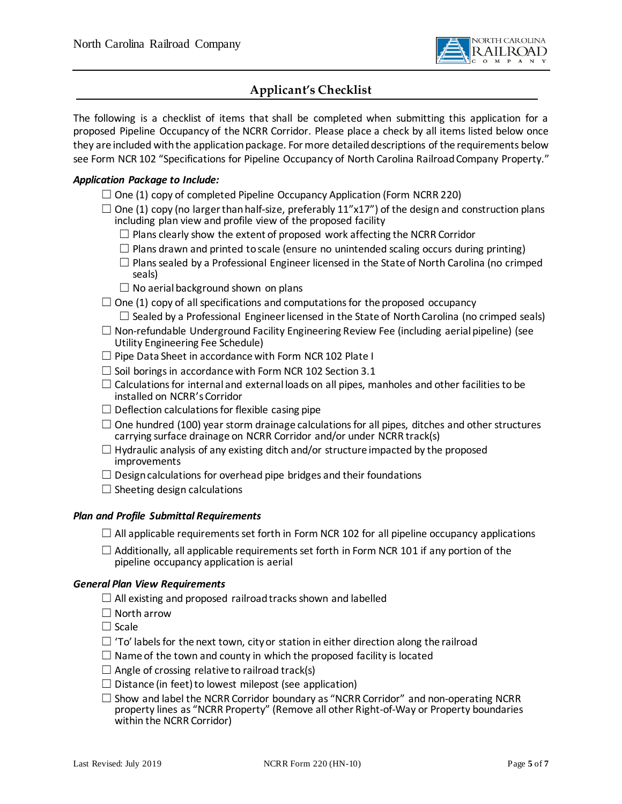

## **Applicant's Checklist**

The following is a checklist of items that shall be completed when submitting this application for a proposed Pipeline Occupancy of the NCRR Corridor. Please place a check by all items listed below once they are included with the application package. For more detailed descriptions of the requirements below see Form NCR 102 "Specifications for Pipeline Occupancy of North Carolina Railroad Company Property."

#### *Application Package to Include:*

- $\Box$  One (1) copy of completed Pipeline Occupancy Application (Form NCRR 220)
- $\square$  One (1) copy (no larger than half-size, preferably 11"x17") of the design and construction plans including plan view and profile view of the proposed facility
	- $\Box$  Plans clearly show the extent of proposed work affecting the NCRR Corridor
	- $\Box$  Plans drawn and printed to scale (ensure no unintended scaling occurs during printing)
	- $\Box$  Plans sealed by a Professional Engineer licensed in the State of North Carolina (no crimped seals)
	- $\Box$  No aerial background shown on plans

 $\Box$  One (1) copy of all specifications and computations for the proposed occupancy  $\Box$  Sealed by a Professional Engineer licensed in the State of North Carolina (no crimped seals)

- $\Box$  Non-refundable Underground Facility Engineering Review Fee (including aerial pipeline) (see Utility Engineering Fee Schedule)
- □ Pipe Data Sheet in accordance with Form NCR 102 Plate I
- $\Box$  Soil borings in accordance with Form NCR 102 Section 3.1
- $\Box$  Calculations for internal and external loads on all pipes, manholes and other facilities to be installed on NCRR's Corridor
- $\Box$  Deflection calculations for flexible casing pipe
- $\Box$  One hundred (100) year storm drainage calculations for all pipes, ditches and other structures carrying surface drainage on NCRR Corridor and/or under NCRR track(s)
- $\Box$  Hydraulic analysis of any existing ditch and/or structure impacted by the proposed improvements
- $\Box$  Design calculations for overhead pipe bridges and their foundations
- $\Box$  Sheeting design calculations

#### *Plan and Profile Submittal Requirements*

- $\Box$  All applicable requirements set forth in Form NCR 102 for all pipeline occupancy applications
- $\Box$  Additionally, all applicable requirements set forth in Form NCR 101 if any portion of the pipeline occupancy application is aerial

#### *General Plan View Requirements*

- $\Box$  All existing and proposed railroad tracks shown and labelled
- ☐ North arrow
- ☐ Scale
- $\Box$  'To' labels for the next town, city or station in either direction along the railroad
- $\Box$  Name of the town and county in which the proposed facility is located
- $\Box$  Angle of crossing relative to railroad track(s)
- $\Box$  Distance (in feet) to lowest milepost (see application)
- $\Box$  Show and label the NCRR Corridor boundary as "NCRR Corridor" and non-operating NCRR property lines as "NCRR Property" (Remove all other Right-of-Way or Property boundaries within the NCRR Corridor)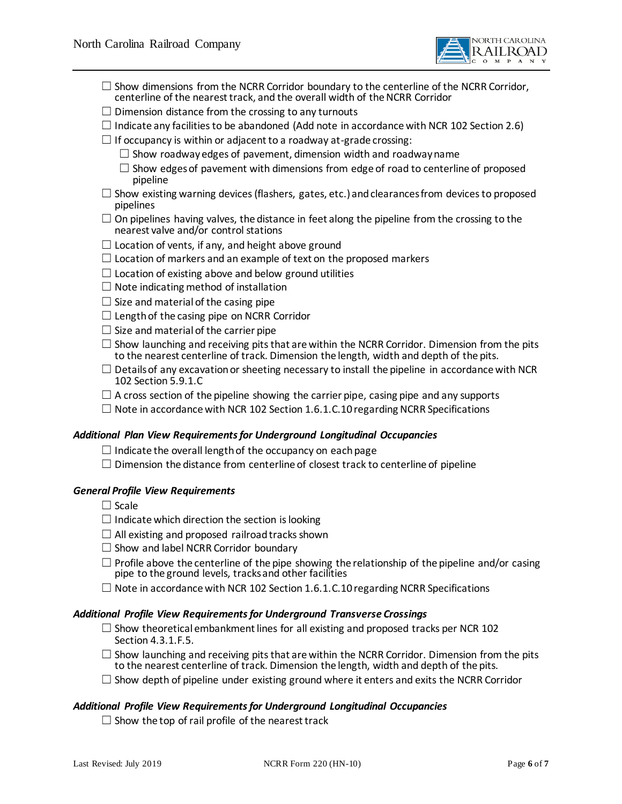

- $\Box$  Show dimensions from the NCRR Corridor boundary to the centerline of the NCRR Corridor, centerline of the nearest track, and the overall width of the NCRR Corridor
- $\Box$  Dimension distance from the crossing to any turnouts
- $\Box$  Indicate any facilities to be abandoned (Add note in accordance with NCR 102 Section 2.6)
- $\Box$  If occupancy is within or adjacent to a roadway at-grade crossing:
	- $\Box$  Show roadway edges of pavement, dimension width and roadway name
	- $\square$  Show edges of pavement with dimensions from edge of road to centerline of proposed pipeline
- $\square$  Show existing warning devices (flashers, gates, etc.) and clearances from devices to proposed pipelines
- $\Box$  On pipelines having valves, the distance in feet along the pipeline from the crossing to the nearest valve and/or control stations
- $\Box$  Location of vents, if any, and height above ground
- $\Box$  Location of markers and an example of text on the proposed markers
- $\Box$  Location of existing above and below ground utilities
- $\Box$  Note indicating method of installation
- $\Box$  Size and material of the casing pipe
- $\Box$  Length of the casing pipe on NCRR Corridor
- $\Box$  Size and material of the carrier pipe
- $\Box$  Show launching and receiving pits that are within the NCRR Corridor. Dimension from the pits to the nearest centerline of track. Dimension the length, width and depth of the pits.
- $\Box$  Details of any excavation or sheeting necessary to install the pipeline in accordance with NCR 102 Section 5.9.1.C
- $\Box$  A cross section of the pipeline showing the carrier pipe, casing pipe and any supports
- $\Box$  Note in accordance with NCR 102 Section 1.6.1.C.10 regarding NCRR Specifications

#### *Additional Plan View Requirements for Underground Longitudinal Occupancies*

- $\Box$  Indicate the overall length of the occupancy on each page
- $\square$  Dimension the distance from centerline of closest track to centerline of pipeline

#### *General Profile View Requirements*

- ☐ Scale
- $\Box$  Indicate which direction the section is looking
- $\Box$  All existing and proposed railroad tracks shown
- $\Box$  Show and label NCRR Corridor boundary
- $\Box$  Profile above the centerline of the pipe showing the relationship of the pipeline and/or casing pipe to the ground levels, tracks and other facilities
- $\Box$  Note in accordance with NCR 102 Section 1.6.1.C.10 regarding NCRR Specifications

#### *Additional Profile View Requirements for Underground Transverse Crossings*

- $\Box$  Show theoretical embankment lines for all existing and proposed tracks per NCR 102 Section 4.3.1.F.5.
- $\Box$  Show launching and receiving pits that are within the NCRR Corridor. Dimension from the pits to the nearest centerline of track. Dimension the length, width and depth of the pits.
- $\Box$  Show depth of pipeline under existing ground where it enters and exits the NCRR Corridor

#### *Additional Profile View Requirements for Underground Longitudinal Occupancies*

 $\Box$  Show the top of rail profile of the nearest track